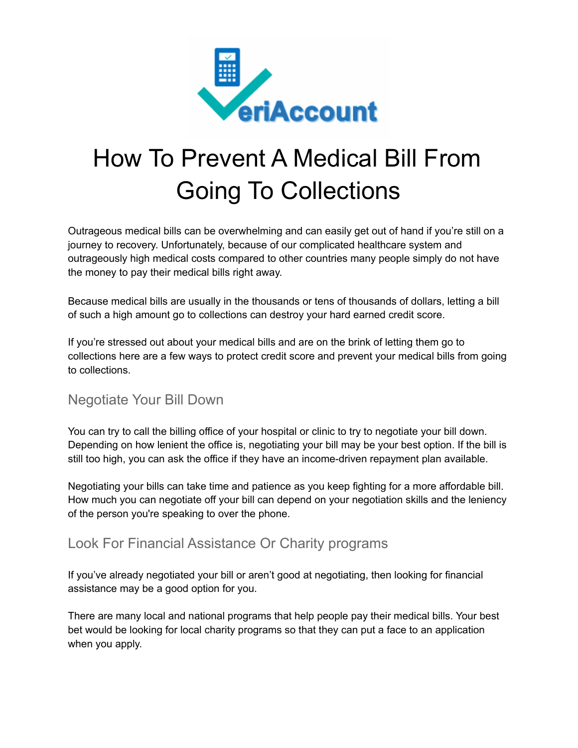

# Going To Collections

Outrageous medical bills can be overwhelming and can easily get out of hand if you're still on a journey to recovery. Unfortunately, because of our complicated healthcare system and outrageously high medical costs compared to other countries many people simply do not have the money to pay their medical bills right away.

Because medical bills are usually in the thousands or tens of thousands of dollars, letting a bill of such a high amount go to collections can destroy your hard earned credit score.

If you're stressed out about your medical bills and are on the brink of letting them go to collections here are a few ways to protect credit score and prevent your medical bills from going to collections.

#### Negotiate Your Bill Down

You can try to call the billing office of your hospital or clinic to try to negotiate your bill down. Depending on how lenient the office is, negotiating your bill may be your best option. If the bill is still too high, you can ask the office if they have an income-driven repayment plan available.

Negotiating your bills can take time and patience as you keep fighting for a more affordable bill. How much you can negotiate off your bill can depend on your negotiation skills and the leniency of the person you're speaking to over the phone.

# Look For Financial Assistance Or Charity programs

If you've already negotiated your bill or aren't good at negotiating, then looking for financial assistance may be a good option for you.

There are many local and national programs that help people pay their medical bills. Your best bet would be looking for local charity programs so that they can put a face to an application when you apply.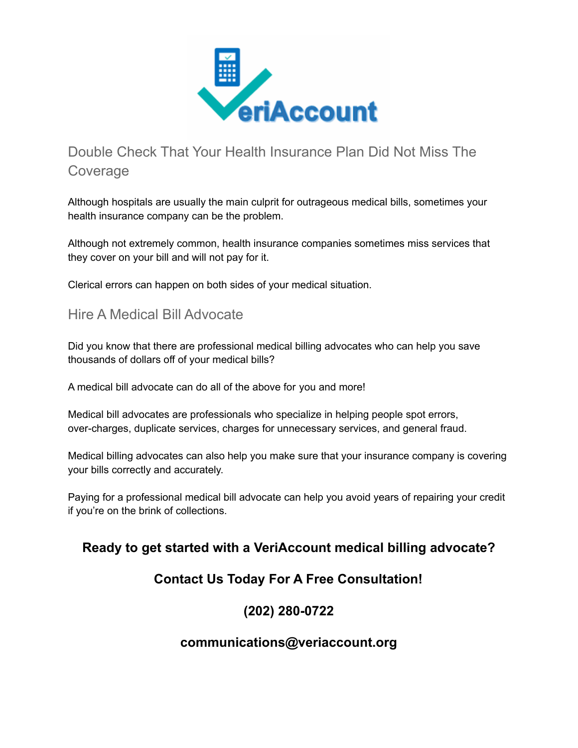

# Double Check That Your Health Insurance Plan Did Not Miss The **Coverage**

Although hospitals are usually the main culprit for outrageous medical bills, sometimes your health insurance company can be the problem.

Although not extremely common, health insurance companies sometimes miss services that they cover on your bill and will not pay for it.

Clerical errors can happen on both sides of your medical situation.

#### Hire A Medical Bill Advocate

Did you know that there are professional medical billing advocates who can help you save thousands of dollars off of your medical bills?

A medical bill advocate can do all of the above for you and more!

Medical bill advocates are professionals who specialize in helping people spot errors, over-charges, duplicate services, charges for unnecessary services, and general fraud.

Medical billing advocates can also help you make sure that your insurance company is covering your bills correctly and accurately.

Paying for a professional medical bill advocate can help you avoid years of repairing your credit if you're on the brink of collections.

# **Ready to get started with a VeriAccount medical billing advocate?**

# **Contact Us Today For A Free Consultation!**

# **(202) 280-0722**

#### **communications@veriaccount.org**